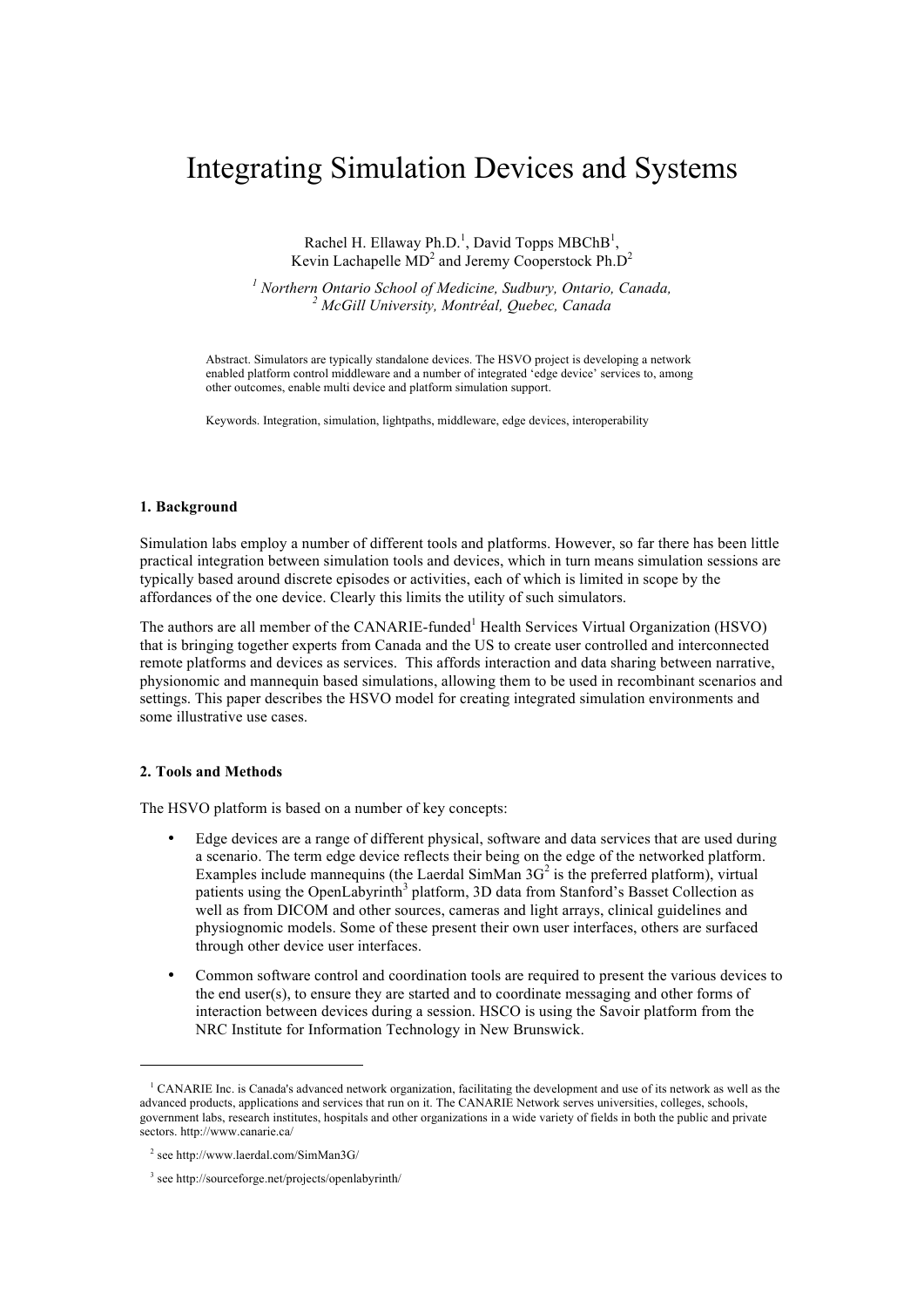# Integrating Simulation Devices and Systems

Rachel H. Ellaway Ph.D.<sup>1</sup>, David Topps MBChB<sup>1</sup>, Kevin Lachapelle  $MD^2$  and Jeremy Cooperstock Ph. $D^2$ 

*<sup>1</sup> Northern Ontario School of Medicine, Sudbury, Ontario, Canada, 2 McGill University, Montréal, Quebec, Canada*

Abstract. Simulators are typically standalone devices. The HSVO project is developing a network enabled platform control middleware and a number of integrated 'edge device' services to, among other outcomes, enable multi device and platform simulation support.

Keywords. Integration, simulation, lightpaths, middleware, edge devices, interoperability

#### **1. Background**

Simulation labs employ a number of different tools and platforms. However, so far there has been little practical integration between simulation tools and devices, which in turn means simulation sessions are typically based around discrete episodes or activities, each of which is limited in scope by the affordances of the one device. Clearly this limits the utility of such simulators.

The authors are all member of the CANARIE-funded<sup>1</sup> Health Services Virtual Organization (HSVO) that is bringing together experts from Canada and the US to create user controlled and interconnected remote platforms and devices as services. This affords interaction and data sharing between narrative, physionomic and mannequin based simulations, allowing them to be used in recombinant scenarios and settings. This paper describes the HSVO model for creating integrated simulation environments and some illustrative use cases.

## **2. Tools and Methods**

 $\overline{a}$ 

The HSVO platform is based on a number of key concepts:

- Edge devices are a range of different physical, software and data services that are used during a scenario. The term edge device reflects their being on the edge of the networked platform. Examples include mannequins (the Laerdal SimMan  $3G<sup>2</sup>$  is the preferred platform), virtual patients using the OpenLabyrinth<sup>3</sup> platform, 3D data from Stanford's Basset Collection as well as from DICOM and other sources, cameras and light arrays, clinical guidelines and physiognomic models. Some of these present their own user interfaces, others are surfaced through other device user interfaces.
- Common software control and coordination tools are required to present the various devices to the end user(s), to ensure they are started and to coordinate messaging and other forms of interaction between devices during a session. HSCO is using the Savoir platform from the NRC Institute for Information Technology in New Brunswick.

<sup>&</sup>lt;sup>1</sup> CANARIE Inc. is Canada's advanced network organization, facilitating the development and use of its network as well as the advanced products, applications and services that run on it. The CANARIE Network serves universities, colleges, schools, government labs, research institutes, hospitals and other organizations in a wide variety of fields in both the public and private sectors. http://www.canarie.ca/

<sup>2</sup> see http://www.laerdal.com/SimMan3G/

<sup>3</sup> see http://sourceforge.net/projects/openlabyrinth/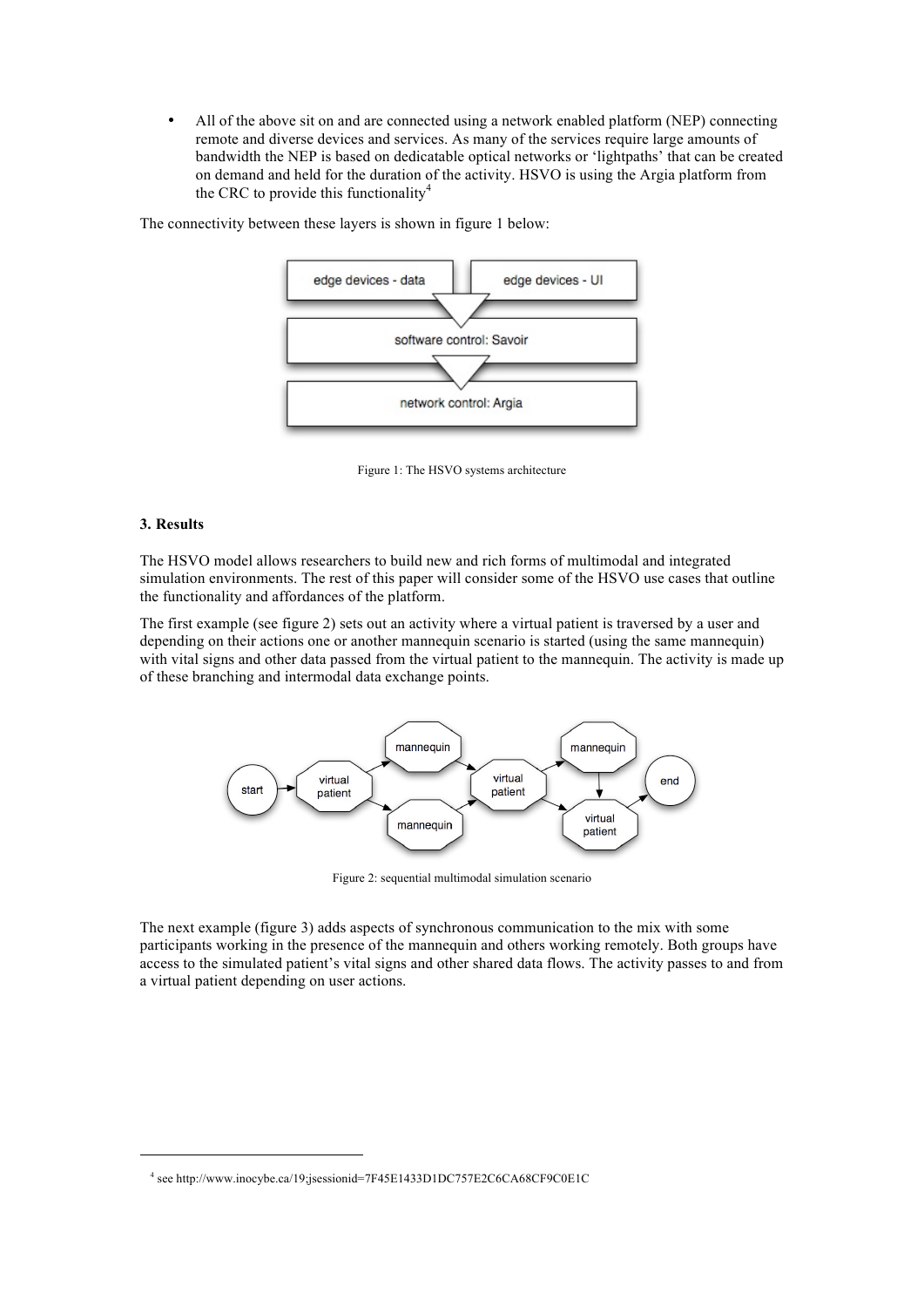• All of the above sit on and are connected using a network enabled platform (NEP) connecting remote and diverse devices and services. As many of the services require large amounts of bandwidth the NEP is based on dedicatable optical networks or 'lightpaths' that can be created on demand and held for the duration of the activity. HSVO is using the Argia platform from the CRC to provide this functionality<sup>4</sup>



The connectivity between these layers is shown in figure 1 below:

Figure 1: The HSVO systems architecture

## **3. Results**

 $\overline{a}$ 

The HSVO model allows researchers to build new and rich forms of multimodal and integrated simulation environments. The rest of this paper will consider some of the HSVO use cases that outline the functionality and affordances of the platform.

The first example (see figure 2) sets out an activity where a virtual patient is traversed by a user and depending on their actions one or another mannequin scenario is started (using the same mannequin) with vital signs and other data passed from the virtual patient to the mannequin. The activity is made up of these branching and intermodal data exchange points.



Figure 2: sequential multimodal simulation scenario

The next example (figure 3) adds aspects of synchronous communication to the mix with some participants working in the presence of the mannequin and others working remotely. Both groups have access to the simulated patient's vital signs and other shared data flows. The activity passes to and from a virtual patient depending on user actions.

<sup>4</sup> see http://www.inocybe.ca/19;jsessionid=7F45E1433D1DC757E2C6CA68CF9C0E1C